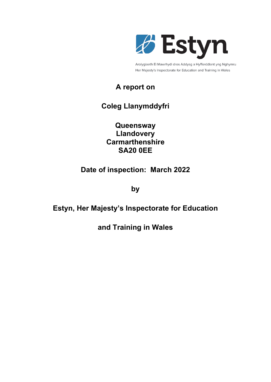

Arolygiaeth Ei Mawrhydi dros Addysg a Hyfforddiant yng Nghymru Her Majesty's Inspectorate for Education and Training in Wales

# **A report on**

# **Coleg Llanymddyfri**

**Queensway Llandovery Carmarthenshire SA20 0EE**

# **Date of inspection: March 2022**

**by**

# **Estyn, Her Majesty's Inspectorate for Education**

**and Training in Wales**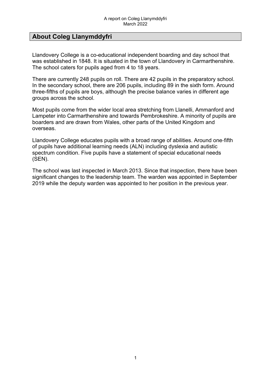## **About Coleg Llanymddyfri**

Llandovery College is a co-educational independent boarding and day school that was established in 1848. It is situated in the town of Llandovery in Carmarthenshire. The school caters for pupils aged from 4 to 18 years.

There are currently 248 pupils on roll. There are 42 pupils in the preparatory school. In the secondary school, there are 206 pupils, including 89 in the sixth form. Around three-fifths of pupils are boys, although the precise balance varies in different age groups across the school.

Most pupils come from the wider local area stretching from Llanelli, Ammanford and Lampeter into Carmarthenshire and towards Pembrokeshire. A minority of pupils are boarders and are drawn from Wales, other parts of the United Kingdom and overseas.

Llandovery College educates pupils with a broad range of abilities. Around one‑fifth of pupils have additional learning needs (ALN) including dyslexia and autistic spectrum condition. Five pupils have a statement of special educational needs (SEN).

The school was last inspected in March 2013. Since that inspection, there have been significant changes to the leadership team. The warden was appointed in September 2019 while the deputy warden was appointed to her position in the previous year.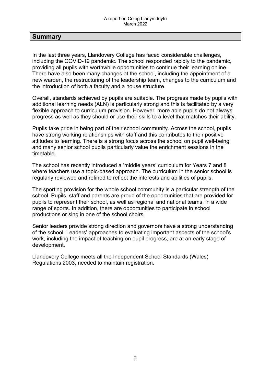## **Summary**

In the last three years, Llandovery College has faced considerable challenges, including the COVID-19 pandemic. The school responded rapidly to the pandemic, providing all pupils with worthwhile opportunities to continue their learning online. There have also been many changes at the school, including the appointment of a new warden, the restructuring of the leadership team, changes to the curriculum and the introduction of both a faculty and a house structure.

Overall, standards achieved by pupils are suitable. The progress made by pupils with additional learning needs (ALN) is particularly strong and this is facilitated by a very flexible approach to curriculum provision. However, more able pupils do not always progress as well as they should or use their skills to a level that matches their ability.

Pupils take pride in being part of their school community. Across the school, pupils have strong working relationships with staff and this contributes to their positive attitudes to learning. There is a strong focus across the school on pupil well-being and many senior school pupils particularly value the enrichment sessions in the timetable.

The school has recently introduced a 'middle years' curriculum for Years 7 and 8 where teachers use a topic-based approach. The curriculum in the senior school is regularly reviewed and refined to reflect the interests and abilities of pupils.

The sporting provision for the whole school community is a particular strength of the school. Pupils, staff and parents are proud of the opportunities that are provided for pupils to represent their school, as well as regional and national teams, in a wide range of sports. In addition, there are opportunities to participate in school productions or sing in one of the school choirs.

Senior leaders provide strong direction and governors have a strong understanding of the school. Leaders' approaches to evaluating important aspects of the school's work, including the impact of teaching on pupil progress, are at an early stage of development.

Llandovery College meets all the Independent School Standards (Wales) Regulations 2003, needed to maintain registration.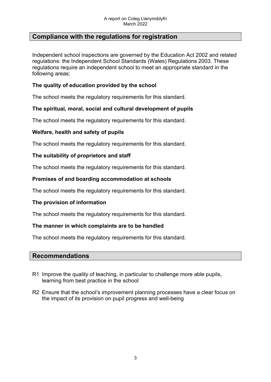## **Compliance with the regulations for registration**

Independent school inspections are governed by the Education Act 2002 and related regulations: the Independent School Standards (Wales) Regulations 2003. These regulations require an independent school to meet an appropriate standard in the following areas:

## **The quality of education provided by the school**

The school meets the regulatory requirements for this standard.

## **The spiritual, moral, social and cultural development of pupils**

The school meets the regulatory requirements for this standard.

### **Welfare, health and safety of pupils**

The school meets the regulatory requirements for this standard.

### **The suitability of proprietors and staff**

The school meets the regulatory requirements for this standard.

### **Premises of and boarding accommodation at schools**

The school meets the regulatory requirements for this standard.

#### **The provision of information**

The school meets the regulatory requirements for this standard.

#### **The manner in which complaints are to be handled**

The school meets the regulatory requirements for this standard.

#### **Recommendations**

- R1 Improve the quality of teaching, in particular to challenge more able pupils, learning from best practice in the school
- R2 Ensure that the school's improvement planning processes have a clear focus on the impact of its provision on pupil progress and well-being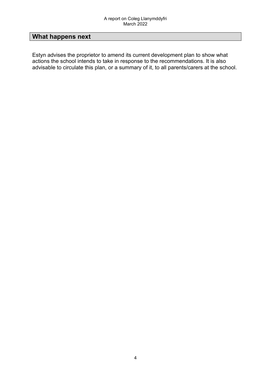# **What happens next**

Estyn advises the proprietor to amend its current development plan to show what actions the school intends to take in response to the recommendations. It is also advisable to circulate this plan, or a summary of it, to all parents/carers at the school.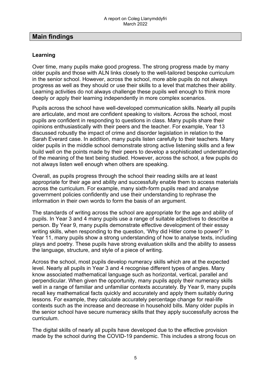## **Main findings**

## **Learning**

Over time, many pupils make good progress. The strong progress made by many older pupils and those with ALN links closely to the well-tailored bespoke curriculum in the senior school. However, across the school, more able pupils do not always progress as well as they should or use their skills to a level that matches their ability. Learning activities do not always challenge these pupils well enough to think more deeply or apply their learning independently in more complex scenarios.

Pupils across the school have well-developed communication skills. Nearly all pupils are articulate, and most are confident speaking to visitors. Across the school, most pupils are confident in responding to questions in class. Many pupils share their opinions enthusiastically with their peers and the teacher. For example, Year 13 discussed robustly the impact of crime and disorder legislation in relation to the Sarah Everard case. In addition, many pupils listen carefully to their teachers. Many older pupils in the middle school demonstrate strong active listening skills and a few build well on the points made by their peers to develop a sophisticated understanding of the meaning of the text being studied. However, across the school, a few pupils do not always listen well enough when others are speaking.

Overall, as pupils progress through the school their reading skills are at least appropriate for their age and ability and successfully enable them to access materials across the curriculum. For example, many sixth-form pupils read and analyse government policies confidently and use their understanding to rephrase the information in their own words to form the basis of an argument.

The standards of writing across the school are appropriate for the age and ability of pupils. In Year 3 and 4 many pupils use a range of suitable adjectives to describe a person. By Year 9, many pupils demonstrate effective development of their essay writing skills, when responding to the question, 'Why did Hitler come to power?' In Year 11, many pupils show a strong understanding of how to analyse texts, including plays and poetry. These pupils have strong evaluation skills and the ability to assess the language, structure, and style of a piece of writing.

Across the school, most pupils develop numeracy skills which are at the expected level. Nearly all pupils in Year 3 and 4 recognise different types of angles. Many know associated mathematical language such as horizontal, vertical, parallel and perpendicular. When given the opportunity, many pupils apply their numeracy skills well in a range of familiar and unfamiliar contexts accurately. By Year 9, many pupils recall key mathematical facts quickly and accurately and apply them suitably during lessons. For example, they calculate accurately percentage change for real-life contexts such as the increase and decrease in household bills. Many older pupils in the senior school have secure numeracy skills that they apply successfully across the curriculum.

The digital skills of nearly all pupils have developed due to the effective provision made by the school during the COVID-19 pandemic. This includes a strong focus on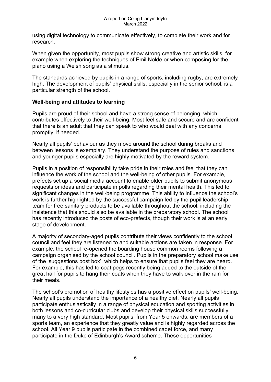using digital technology to communicate effectively, to complete their work and for research.

When given the opportunity, most pupils show strong creative and artistic skills, for example when exploring the techniques of Emil Nolde or when composing for the piano using a Welsh song as a stimulus.

The standards achieved by pupils in a range of sports, including rugby, are extremely high. The development of pupils' physical skills, especially in the senior school, is a particular strength of the school.

## **Well-being and attitudes to learning**

Pupils are proud of their school and have a strong sense of belonging, which contributes effectively to their well-being. Most feel safe and secure and are confident that there is an adult that they can speak to who would deal with any concerns promptly, if needed.

Nearly all pupils' behaviour as they move around the school during breaks and between lessons is exemplary. They understand the purpose of rules and sanctions and younger pupils especially are highly motivated by the reward system.

Pupils in a position of responsibility take pride in their roles and feel that they can influence the work of the school and the well-being of other pupils. For example, prefects set up a social media account to enable older pupils to submit anonymous requests or ideas and participate in polls regarding their mental health. This led to significant changes in the well-being programme. This ability to influence the school's work is further highlighted by the successful campaign led by the pupil leadership team for free sanitary products to be available throughout the school, including the insistence that this should also be available in the preparatory school. The school has recently introduced the posts of eco-prefects, though their work is at an early stage of development.

A majority of secondary-aged pupils contribute their views confidently to the school council and feel they are listened to and suitable actions are taken in response. For example, the school re-opened the boarding house common rooms following a campaign organised by the school council. Pupils in the preparatory school make use of the 'suggestions post box', which helps to ensure that pupils feel they are heard. For example, this has led to coat pegs recently being added to the outside of the great hall for pupils to hang their coats when they have to walk over in the rain for their meals.

The school's promotion of healthy lifestyles has a positive effect on pupils' well-being. Nearly all pupils understand the importance of a healthy diet. Nearly all pupils participate enthusiastically in a range of physical education and sporting activities in both lessons and co-curricular clubs and develop their physical skills successfully, many to a very high standard. Most pupils, from Year 5 onwards, are members of a sports team, an experience that they greatly value and is highly regarded across the school. All Year 9 pupils participate in the combined cadet force, and many participate in the Duke of Edinburgh's Award scheme. These opportunities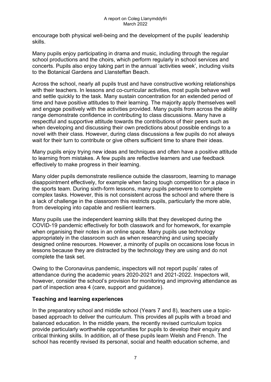encourage both physical well-being and the development of the pupils' leadership skills.

Many pupils enjoy participating in drama and music, including through the regular school productions and the choirs, which perform regularly in school services and concerts. Pupils also enjoy taking part in the annual 'activities week', including visits to the Botanical Gardens and Llansteffan Beach.

Across the school, nearly all pupils trust and have constructive working relationships with their teachers. In lessons and co-curricular activities, most pupils behave well and settle quickly to the task. Many sustain concentration for an extended period of time and have positive attitudes to their learning. The majority apply themselves well and engage positively with the activities provided. Many pupils from across the ability range demonstrate confidence in contributing to class discussions. Many have a respectful and supportive attitude towards the contributions of their peers such as when developing and discussing their own predictions about possible endings to a novel with their class. However, during class discussions a few pupils do not always wait for their turn to contribute or give others sufficient time to share their ideas.

Many pupils enjoy trying new ideas and techniques and often have a positive attitude to learning from mistakes. A few pupils are reflective learners and use feedback effectively to make progress in their learning.

Many older pupils demonstrate resilience outside the classroom, learning to manage disappointment effectively, for example when facing tough competition for a place in the sports team. During sixth-form lessons, many pupils persevere to complete complex tasks. However, this is not consistent across the school and where there is a lack of challenge in the classroom this restricts pupils, particularly the more able, from developing into capable and resilient learners.

Many pupils use the independent learning skills that they developed during the COVID-19 pandemic effectively for both classwork and for homework, for example when organising their notes in an online space. Many pupils use technology appropriately in the classroom such as when researching and using specially designed online resources. However, a minority of pupils on occasions lose focus in lessons because they are distracted by the technology they are using and do not complete the task set.

Owing to the Coronavirus pandemic, inspectors will not report pupils' rates of attendance during the academic years 2020-2021 and 2021-2022. Inspectors will, however, consider the school's provision for monitoring and improving attendance as part of inspection area 4 (care, support and guidance).

## **Teaching and learning experiences**

In the preparatory school and middle school (Years 7 and 8), teachers use a topicbased approach to deliver the curriculum. This provides all pupils with a broad and balanced education. In the middle years, the recently revised curriculum topics provide particularly worthwhile opportunities for pupils to develop their enquiry and critical thinking skills. In addition, all of these pupils learn Welsh and French. The school has recently revised its personal, social and health education scheme, and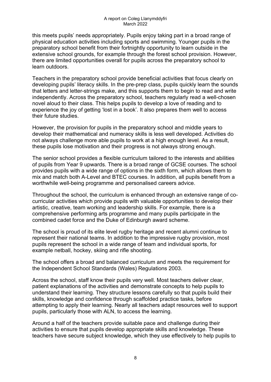this meets pupils' needs appropriately. Pupils enjoy taking part in a broad range of physical education activities including sports and swimming. Younger pupils in the preparatory school benefit from their fortnightly opportunity to learn outside in the extensive school grounds, for example through the forest school provision. However, there are limited opportunities overall for pupils across the preparatory school to learn outdoors.

Teachers in the preparatory school provide beneficial activities that focus clearly on developing pupils' literacy skills. In the pre-prep class, pupils quickly learn the sounds that letters and letter-strings make, and this supports them to begin to read and write independently. Across the preparatory school, teachers regularly read a well-chosen novel aloud to their class. This helps pupils to develop a love of reading and to experience the joy of getting 'lost in a book'. It also prepares them well to access their future studies.

However, the provision for pupils in the preparatory school and middle years to develop their mathematical and numeracy skills is less well developed. Activities do not always challenge more able pupils to work at a high enough level. As a result, these pupils lose motivation and their progress is not always strong enough.

The senior school provides a flexible curriculum tailored to the interests and abilities of pupils from Year 9 upwards. There is a broad range of GCSE courses. The school provides pupils with a wide range of options in the sixth form, which allows them to mix and match both A-Level and BTEC courses. In addition, all pupils benefit from a worthwhile well-being programme and personalised careers advice.

Throughout the school, the curriculum is enhanced through an extensive range of cocurricular activities which provide pupils with valuable opportunities to develop their artistic, creative, team working and leadership skills. For example, there is a comprehensive performing arts programme and many pupils participate in the combined cadet force and the Duke of Edinburgh award scheme.

The school is proud of its elite level rugby heritage and recent alumni continue to represent their national teams. In addition to the impressive rugby provision, most pupils represent the school in a wide range of team and individual sports, for example netball, hockey, skiing and rifle shooting.

The school offers a broad and balanced curriculum and meets the requirement for the Independent School Standards (Wales) Regulations 2003.

Across the school, staff know their pupils very well. Most teachers deliver clear, patient explanations of the activities and demonstrate concepts to help pupils to understand their learning. They structure lessons carefully so that pupils build their skills, knowledge and confidence through scaffolded practice tasks, before attempting to apply their learning. Nearly all teachers adapt resources well to support pupils, particularly those with ALN, to access the learning.

Around a half of the teachers provide suitable pace and challenge during their activities to ensure that pupils develop appropriate skills and knowledge. These teachers have secure subject knowledge, which they use effectively to help pupils to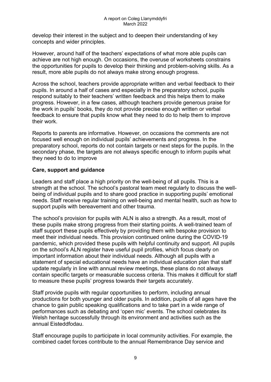develop their interest in the subject and to deepen their understanding of key concepts and wider principles.

However, around half of the teachers' expectations of what more able pupils can achieve are not high enough. On occasions, the overuse of worksheets constrains the opportunities for pupils to develop their thinking and problem-solving skills. As a result, more able pupils do not always make strong enough progress.

Across the school, teachers provide appropriate written and verbal feedback to their pupils. In around a half of cases and especially in the preparatory school, pupils respond suitably to their teachers' written feedback and this helps them to make progress. However, in a few cases, although teachers provide generous praise for the work in pupils' books, they do not provide precise enough written or verbal feedback to ensure that pupils know what they need to do to help them to improve their work.

Reports to parents are informative. However, on occasions the comments are not focused well enough on individual pupils' achievements and progress. In the preparatory school, reports do not contain targets or next steps for the pupils. In the secondary phase, the targets are not always specific enough to inform pupils what they need to do to improve

## **Care, support and guidance**

Leaders and staff place a high priority on the well-being of all pupils. This is a strength at the school. The school's pastoral team meet regularly to discuss the wellbeing of individual pupils and to share good practice in supporting pupils' emotional needs. Staff receive regular training on well-being and mental health, such as how to support pupils with bereavement and other trauma.

The school's provision for pupils with ALN is also a strength. As a result, most of these pupils make strong progress from their starting points. A well-trained team of staff support these pupils effectively by providing them with bespoke provision to meet their individual needs. This provision continued online during the COVID-19 pandemic, which provided these pupils with helpful continuity and support. All pupils on the school's ALN register have useful pupil profiles, which focus clearly on important information about their individual needs. Although all pupils with a statement of special educational needs have an individual education plan that staff update regularly in line with annual review meetings, these plans do not always contain specific targets or measurable success criteria. This makes it difficult for staff to measure these pupils' progress towards their targets accurately.

Staff provide pupils with regular opportunities to perform, including annual productions for both younger and older pupils. In addition, pupils of all ages have the chance to gain public speaking qualifications and to take part in a wide range of performances such as debating and 'open mic' events. The school celebrates its Welsh heritage successfully through its environment and activities such as the annual Eisteddfodau.

Staff encourage pupils to participate in local community activities. For example, the combined cadet forces contribute to the annual Remembrance Day service and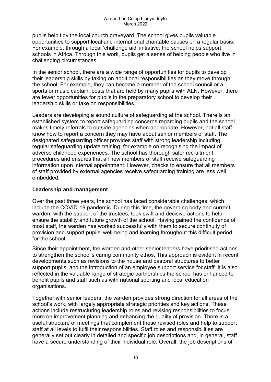pupils help tidy the local church graveyard. The school gives pupils valuable opportunities to support local and international charitable causes on a regular basis. For example, through a local 'challenge aid' initiative, the school helps support schools in Africa. Through this work, pupils get a sense of helping people who live in challenging circumstances.

In the senior school, there are a wide range of opportunities for pupils to develop their leadership skills by taking on additional responsibilities as they move through the school. For example, they can become a member of the school council or a sports or music captain, posts that are held by many pupils with ALN. However, there are fewer opportunities for pupils in the preparatory school to develop their leadership skills or take on responsibilities.

Leaders are developing a sound culture of safeguarding at the school. There is an established system to report safeguarding concerns regarding pupils and the school makes timely referrals to outside agencies when appropriate. However, not all staff know how to report a concern they may have about senior members of staff. The designated safeguarding officer provides staff with strong leadership including regular safeguarding update training, for example on recognising the impact of adverse childhood experiences. The school has thorough safer recruitment procedures and ensures that all new members of staff receive safeguarding information upon internal appointment. However, checks to ensure that all members of staff provided by external agencies receive safeguarding training are less well embedded.

## **Leadership and management**

Over the past three years, the school has faced considerable challenges, which include the COVID-19 pandemic. During this time, the governing body and current warden, with the support of the trustees, took swift and decisive actions to help ensure the stability and future growth of the school. Having gained the confidence of most staff, the warden has worked successfully with them to secure continuity of provision and support pupils' well-being and learning throughout this difficult period for the school.

Since their appointment, the warden and other senior leaders have prioritised actions to strengthen the school's caring community ethos. This approach is evident in recent developments such as revisions to the house and pastoral structures to better support pupils, and the introduction of an employee support service for staff. It is also reflected in the valuable range of strategic partnerships the school has enhanced to benefit pupils and staff such as with national sporting and local education organisations.

Together with senior leaders, the warden provides strong direction for all areas of the school's work, with largely appropriate strategic priorities and key actions. These actions include restructuring leadership roles and revising responsibilities to focus more on improvement planning and enhancing the quality of provision. There is a useful structure of meetings that complement these revised roles and help to support staff at all levels to fulfil their responsibilities. Staff roles and responsibilities are generally set out clearly in detailed and specific job descriptions and, in general, staff have a secure understanding of their individual role. Overall, the job descriptions of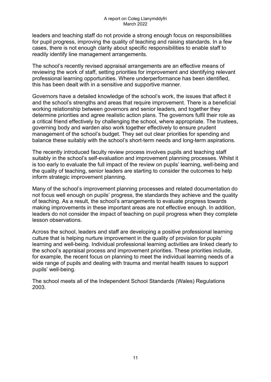leaders and teaching staff do not provide a strong enough focus on responsibilities for pupil progress, improving the quality of teaching and raising standards. In a few cases, there is not enough clarity about specific responsibilities to enable staff to readily identify line management arrangements.

The school's recently revised appraisal arrangements are an effective means of reviewing the work of staff, setting priorities for improvement and identifying relevant professional learning opportunities. Where underperformance has been identified, this has been dealt with in a sensitive and supportive manner.

Governors have a detailed knowledge of the school's work, the issues that affect it and the school's strengths and areas that require improvement. There is a beneficial working relationship between governors and senior leaders, and together they determine priorities and agree realistic action plans. The governors fulfil their role as a critical friend effectively by challenging the school, where appropriate. The trustees, governing body and warden also work together effectively to ensure prudent management of the school's budget. They set out clear priorities for spending and balance these suitably with the school's short-term needs and long-term aspirations.

The recently introduced faculty review process involves pupils and teaching staff suitably in the school's self-evaluation and improvement planning processes. Whilst it is too early to evaluate the full impact of the review on pupils' learning, well-being and the quality of teaching, senior leaders are starting to consider the outcomes to help inform strategic improvement planning.

Many of the school's improvement planning processes and related documentation do not focus well enough on pupils' progress, the standards they achieve and the quality of teaching. As a result, the school's arrangements to evaluate progress towards making improvements in these important areas are not effective enough. In addition, leaders do not consider the impact of teaching on pupil progress when they complete lesson observations.

Across the school, leaders and staff are developing a positive professional learning culture that is helping nurture improvement in the quality of provision for pupils' learning and well-being. Individual professional learning activities are linked clearly to the school's appraisal process and improvement priorities. These priorities include, for example, the recent focus on planning to meet the individual learning needs of a wide range of pupils and dealing with trauma and mental health issues to support pupils' well-being.

The school meets all of the Independent School Standards (Wales) Regulations 2003.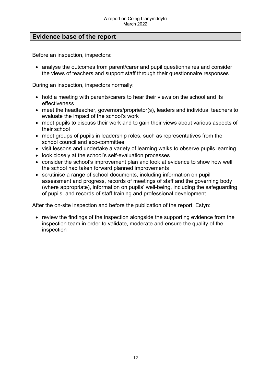## **Evidence base of the report**

Before an inspection, inspectors:

• analyse the outcomes from parent/carer and pupil questionnaires and consider the views of teachers and support staff through their questionnaire responses

During an inspection, inspectors normally:

- hold a meeting with parents/carers to hear their views on the school and its effectiveness
- meet the headteacher, governors/proprietor(s), leaders and individual teachers to evaluate the impact of the school's work
- meet pupils to discuss their work and to gain their views about various aspects of their school
- meet groups of pupils in leadership roles, such as representatives from the school council and eco-committee
- visit lessons and undertake a variety of learning walks to observe pupils learning
- look closely at the school's self-evaluation processes
- consider the school's improvement plan and look at evidence to show how well the school had taken forward planned improvements
- scrutinise a range of school documents, including information on pupil assessment and progress, records of meetings of staff and the governing body (where appropriate), information on pupils' well-being, including the safeguarding of pupils, and records of staff training and professional development

After the on-site inspection and before the publication of the report, Estyn:

• review the findings of the inspection alongside the supporting evidence from the inspection team in order to validate, moderate and ensure the quality of the inspection